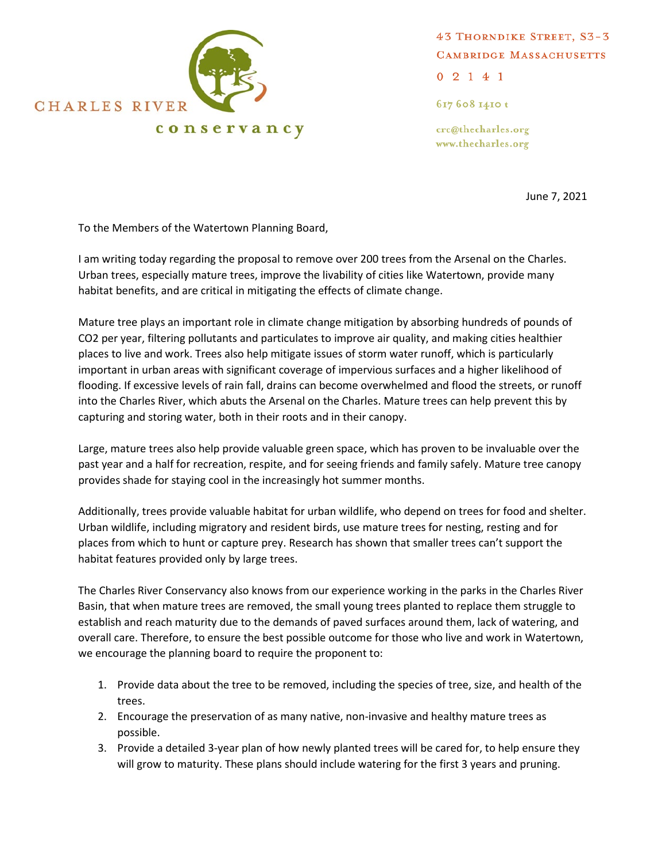

43 THORNDIKE STREET, S3-3 **CAMBRIDGE MASSACHUSETTS** 

 $02141$ 

617 608 1410 t

crc@thecharles.org www.thecharles.org

June 7, 2021

To the Members of the Watertown Planning Board,

I am writing today regarding the proposal to remove over 200 trees from the Arsenal on the Charles. Urban trees, especially mature trees, improve the livability of cities like Watertown, provide many habitat benefits, and are critical in mitigating the effects of climate change.

Mature tree plays an important role in climate change mitigation by absorbing hundreds of pounds of CO2 per year, filtering pollutants and particulates to improve air quality, and making cities healthier places to live and work. Trees also help mitigate issues of storm water runoff, which is particularly important in urban areas with significant coverage of impervious surfaces and a higher likelihood of flooding. If excessive levels of rain fall, drains can become overwhelmed and flood the streets, or runoff into the Charles River, which abuts the Arsenal on the Charles. Mature trees can help prevent this by capturing and storing water, both in their roots and in their canopy.

Large, mature trees also help provide valuable green space, which has proven to be invaluable over the past year and a half for recreation, respite, and for seeing friends and family safely. Mature tree canopy provides shade for staying cool in the increasingly hot summer months.

Additionally, trees provide valuable habitat for urban wildlife, who depend on trees for food and shelter. Urban wildlife, including migratory and resident birds, use mature trees for nesting, resting and for places from which to hunt or capture prey. Research has shown that smaller trees can't support the habitat features provided only by large trees.

The Charles River Conservancy also knows from our experience working in the parks in the Charles River Basin, that when mature trees are removed, the small young trees planted to replace them struggle to establish and reach maturity due to the demands of paved surfaces around them, lack of watering, and overall care. Therefore, to ensure the best possible outcome for those who live and work in Watertown, we encourage the planning board to require the proponent to:

- 1. Provide data about the tree to be removed, including the species of tree, size, and health of the trees.
- 2. Encourage the preservation of as many native, non-invasive and healthy mature trees as possible.
- 3. Provide a detailed 3-year plan of how newly planted trees will be cared for, to help ensure they will grow to maturity. These plans should include watering for the first 3 years and pruning.